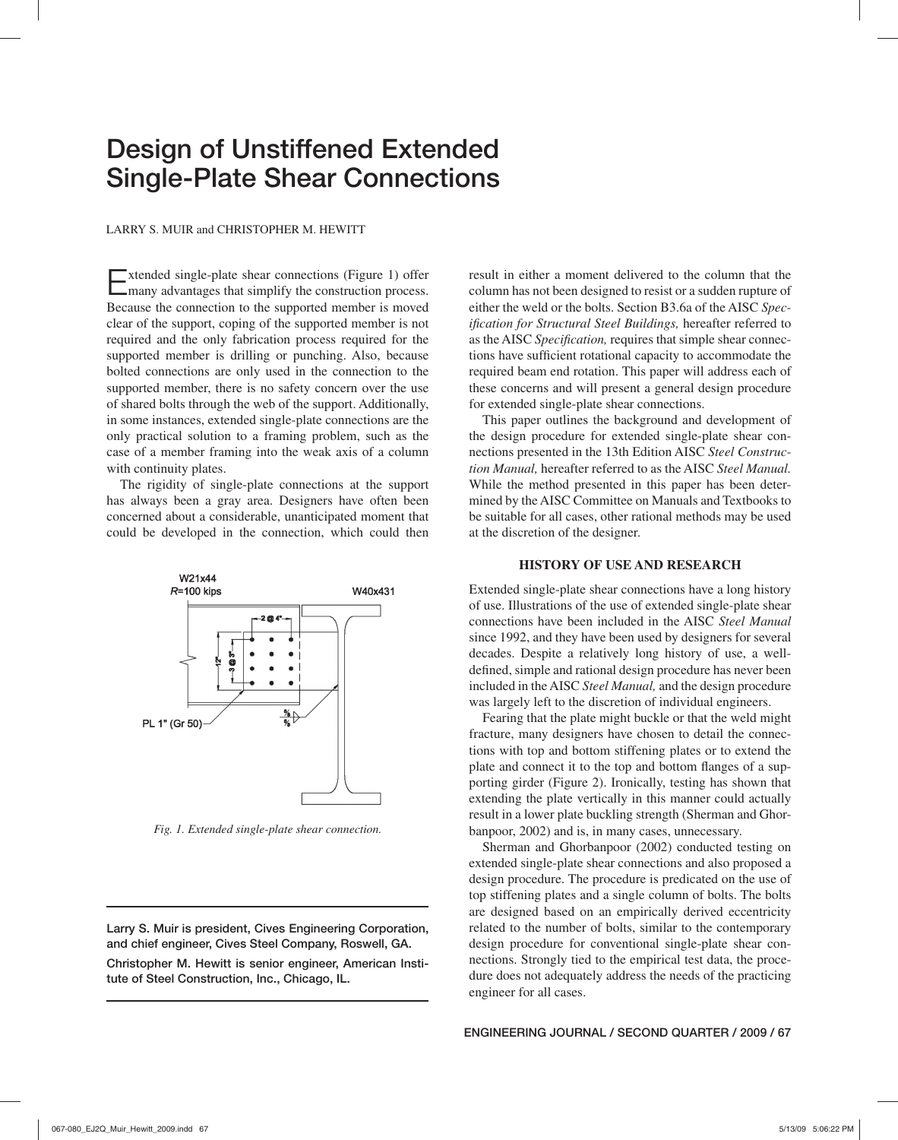# **Design of Unstiffened Extended Single-Plate Shear Connections**

LARRY S. MUIR and CHRISTOPHER M. HEWITT

Extended single-plate shear connections (Figure 1) offer many advantages that simplify the construction process. Because the connection to the supported member is moved clear of the support, coping of the supported member is not required and the only fabrication process required for the supported member is drilling or punching. Also, because bolted connections are only used in the connection to the supported member, there is no safety concern over the use of shared bolts through the web of the support. Additionally, in some instances, extended single-plate connections are the only practical solution to a framing problem, such as the case of a member framing into the weak axis of a column with continuity plates.

The rigidity of single-plate connections at the support has always been a gray area. Designers have often been concerned about a considerable, unanticipated moment that could be developed in the connection, which could then



*Fig. 1. Extended single-plate shear connection.*

**Larry S. Muir is president, Cives Engineering Corporation, and chief engineer, Cives Steel Company, Roswell, GA.**

**Christopher M. Hewitt is senior engineer, American Institute of Steel Construction, Inc., Chicago, IL.**

result in either a moment delivered to the column that the column has not been designed to resist or a sudden rupture of either the weld or the bolts. Section B3.6a of the AISC *Specification for Structural Steel Buildings, hereafter referred to* as the AISC Specification, requires that simple shear connections have sufficient rotational capacity to accommodate the required beam end rotation. This paper will address each of these concerns and will present a general design procedure for extended single-plate shear connections.

This paper outlines the background and development of the design procedure for extended single-plate shear connections presented in the 13th Edition AISC *Steel Construction Manual,* hereafter referred to as the AISC *Steel Manual.* While the method presented in this paper has been determined by the AISC Committee on Manuals and Textbooks to be suitable for all cases, other rational methods may be used at the discretion of the designer.

#### **HISTORY OF USE AND RESEARCH**

Extended single-plate shear connections have a long history of use. Illustrations of the use of extended single-plate shear connections have been included in the AISC *Steel Manual* since 1992, and they have been used by designers for several decades. Despite a relatively long history of use, a welldefined, simple and rational design procedure has never been included in the AISC *Steel Manual,* and the design procedure was largely left to the discretion of individual engineers.

Fearing that the plate might buckle or that the weld might fracture, many designers have chosen to detail the connections with top and bottom stiffening plates or to extend the plate and connect it to the top and bottom flanges of a supporting girder (Figure 2). Ironically, testing has shown that extending the plate vertically in this manner could actually result in a lower plate buckling strength (Sherman and Ghorbanpoor, 2002) and is, in many cases, unnecessary.

Sherman and Ghorbanpoor (2002) conducted testing on extended single-plate shear connections and also proposed a design procedure. The procedure is predicated on the use of top stiffening plates and a single column of bolts. The bolts are designed based on an empirically derived eccentricity related to the number of bolts, similar to the contemporary design procedure for conventional single-plate shear connections. Strongly tied to the empirical test data, the procedure does not adequately address the needs of the practicing engineer for all cases.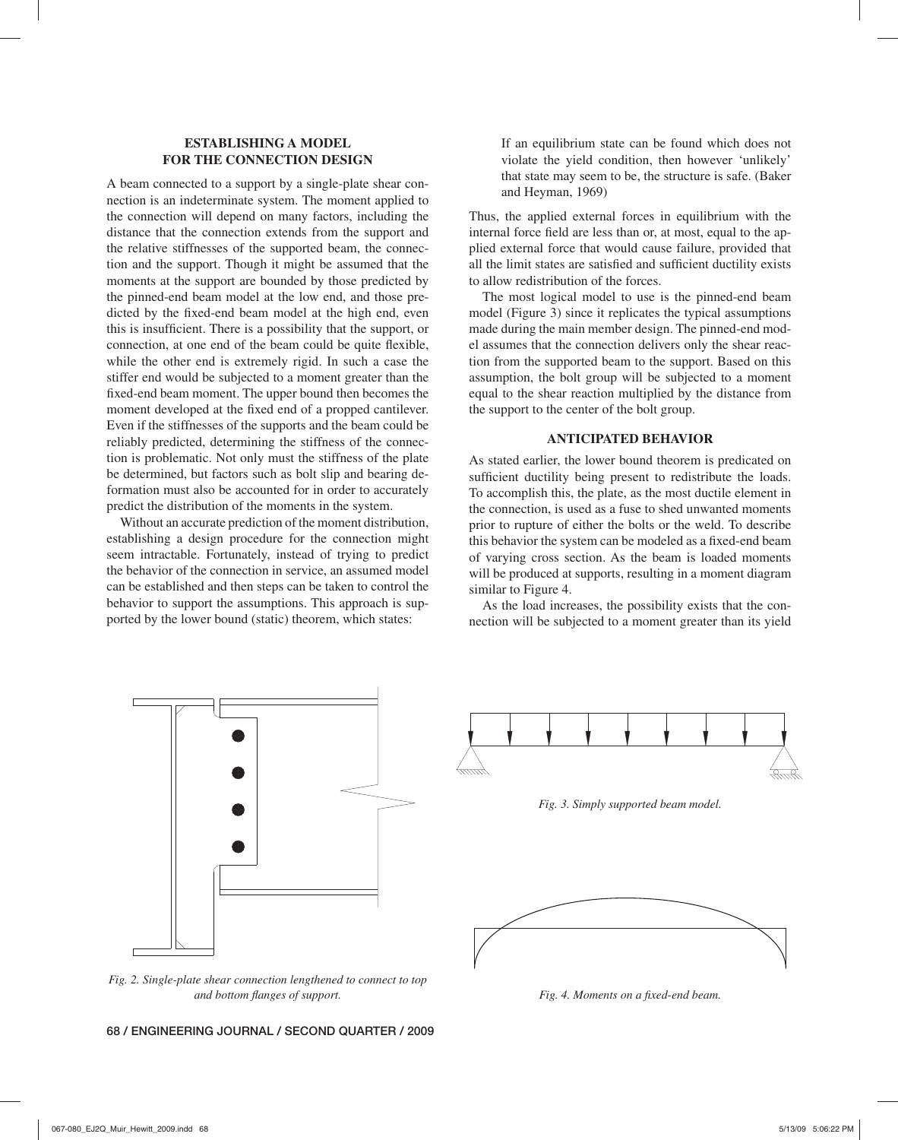## **ESTABLISHING A MODEL FOR THE CONNECTION DESIGN**

A beam connected to a support by a single-plate shear connection is an indeterminate system. The moment applied to the connection will depend on many factors, including the distance that the connection extends from the support and the relative stiffnesses of the supported beam, the connection and the support. Though it might be assumed that the moments at the support are bounded by those predicted by the pinned-end beam model at the low end, and those predicted by the fixed-end beam model at the high end, even this is insufficient. There is a possibility that the support, or connection, at one end of the beam could be quite flexible, while the other end is extremely rigid. In such a case the stiffer end would be subjected to a moment greater than the fixed-end beam moment. The upper bound then becomes the moment developed at the fixed end of a propped cantilever. Even if the stiffnesses of the supports and the beam could be reliably predicted, determining the stiffness of the connection is problematic. Not only must the stiffness of the plate be determined, but factors such as bolt slip and bearing deformation must also be accounted for in order to accurately predict the distribution of the moments in the system.

Without an accurate prediction of the moment distribution, establishing a design procedure for the connection might seem intractable. Fortunately, instead of trying to predict the behavior of the connection in service, an assumed model can be established and then steps can be taken to control the behavior to support the assumptions. This approach is supported by the lower bound (static) theorem, which states:

If an equilibrium state can be found which does not violate the yield condition, then however 'unlikely' that state may seem to be, the structure is safe. (Baker and Heyman, 1969)

Thus, the applied external forces in equilibrium with the internal force field are less than or, at most, equal to the applied external force that would cause failure, provided that all the limit states are satisfied and sufficient ductility exists to allow redistribution of the forces.

The most logical model to use is the pinned-end beam model (Figure 3) since it replicates the typical assumptions made during the main member design. The pinned-end model assumes that the connection delivers only the shear reaction from the supported beam to the support. Based on this assumption, the bolt group will be subjected to a moment equal to the shear reaction multiplied by the distance from the support to the center of the bolt group.

## **ANTICIPATED BEHAVIOR**

As stated earlier, the lower bound theorem is predicated on sufficient ductility being present to redistribute the loads. To accomplish this, the plate, as the most ductile element in the connection, is used as a fuse to shed unwanted moments prior to rupture of either the bolts or the weld. To describe this behavior the system can be modeled as a fixed-end beam of varying cross section. As the beam is loaded moments will be produced at supports, resulting in a moment diagram similar to Figure 4.

As the load increases, the possibility exists that the connection will be subjected to a moment greater than its yield



Fig. 4. Moments on a fixed-end beam.

**68 / ENGINEERING JOURNAL / SECOND QUARTER / 2009**

*and bottom flanges of support.*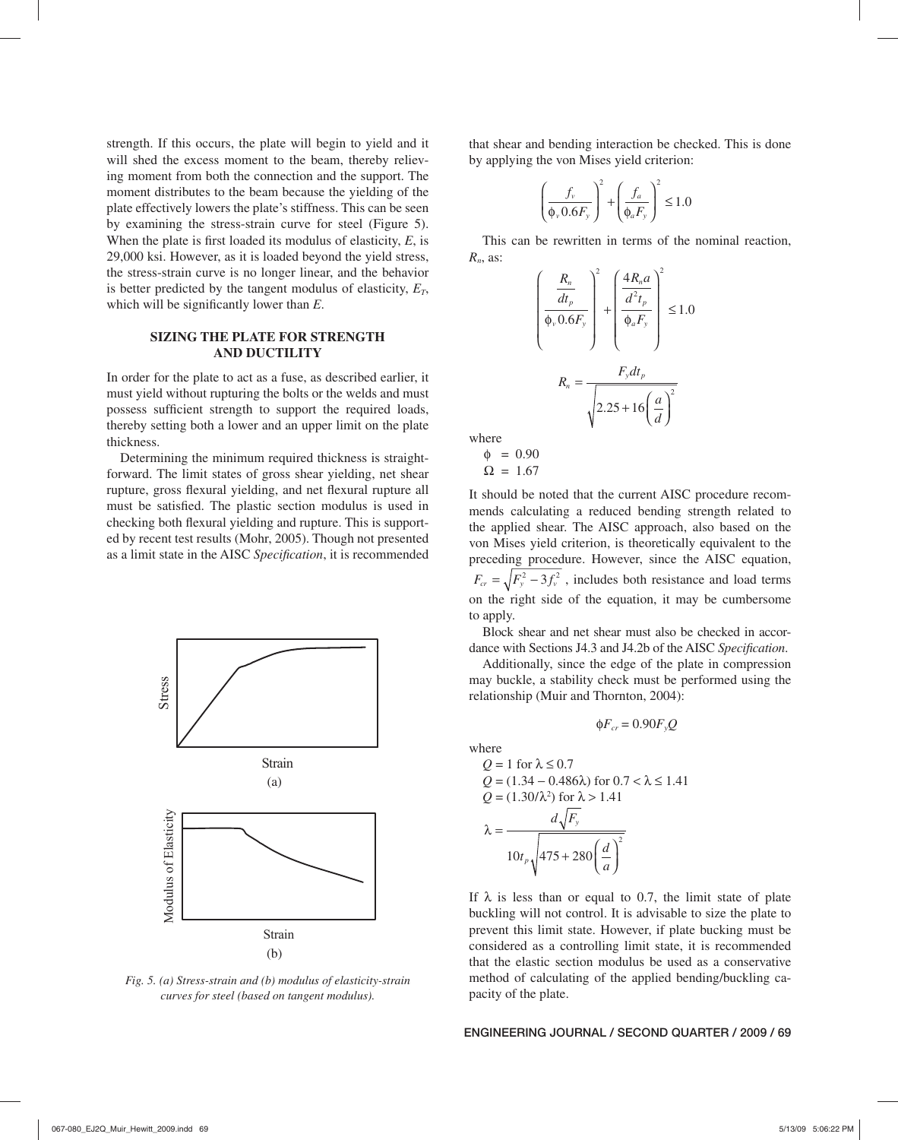strength. If this occurs, the plate will begin to yield and it will shed the excess moment to the beam, thereby relieving moment from both the connection and the support. The moment distributes to the beam because the yielding of the plate effectively lowers the plate's stiffness. This can be seen by examining the stress-strain curve for steel (Figure 5). When the plate is first loaded its modulus of elasticity,  $E$ , is 29,000 ksi. However, as it is loaded beyond the yield stress, the stress-strain curve is no longer linear, and the behavior is better predicted by the tangent modulus of elasticity,  $E_T$ , which will be significantly lower than *E*.

## **SIZING THE PLATE FOR STRENGTH AND DUCTILITY**

In order for the plate to act as a fuse, as described earlier, it must yield without rupturing the bolts or the welds and must possess sufficient strength to support the required loads, thereby setting both a lower and an upper limit on the plate thickness.

Determining the minimum required thickness is straightforward. The limit states of gross shear yielding, net shear rupture, gross flexural yielding, and net flexural rupture all must be satisfied. The plastic section modulus is used in checking both flexural yielding and rupture. This is supported by recent test results (Mohr, 2005). Though not presented as a limit state in the AISC *Specification*, it is recommended



*Fig. 5. (a) Stress-strain and (b) modulus of elasticity-strain curves for steel (based on tangent modulus).*

that shear and bending interaction be checked. This is done by applying the von Mises yield criterion:

$$
\left(\frac{f_{\nu}}{\Phi_{\nu} 0.6 F_{\nu}}\right)^2 + \left(\frac{f_a}{\Phi_a F_{\nu}}\right)^2 \le 1.0
$$

This can be rewritten in terms of the nominal reaction, *Rn*, as:

$$
\left(\frac{\frac{R_n}{dt_p}}{\Phi_v 0.6F_y}\right)^2 + \left(\frac{4R_n a}{\frac{d^2 t_p}{\Phi_a F_y}}\right)^2 \le 1.0
$$

$$
R_n = \frac{F_y dt_p}{\sqrt{2.25 + 16\left(\frac{a}{d}\right)^2}}
$$

where  $0.90$ 

$$
\varphi = 0.90
$$
  

$$
\Omega = 1.67
$$

It should be noted that the current AISC procedure recommends calculating a reduced bending strength related to the applied shear. The AISC approach, also based on the von Mises yield criterion, is theoretically equivalent to the preceding procedure. However, since the AISC equation,  $F_{cr} = \sqrt{F_y^2 - 3f_y^2}$ , includes both resistance and load terms on the right side of the equation, it may be cumbersome to apply.

Block shear and net shear must also be checked in accordance with Sections J4.3 and J4.2b of the AISC *Specification*.

Additionally, since the edge of the plate in compression may buckle, a stability check must be performed using the relationship (Muir and Thornton, 2004):

$$
\phi F_{cr} = 0.90 F_{y} Q
$$

where

Q = 1 for λ ≤ 0.7  
\nQ = (1.34 – 0.486λ) for 0.7 < λ ≤ 1.41  
\nQ = (1.30/λ<sup>2</sup>) for λ > 1.41  
\nλ = 
$$
\frac{d\sqrt{F_y}}{10t_p\sqrt{475 + 280\left(\frac{d}{a}\right)^2}}
$$

If  $\lambda$  is less than or equal to 0.7, the limit state of plate buckling will not control. It is advisable to size the plate to prevent this limit state. However, if plate bucking must be considered as a controlling limit state, it is recommended that the elastic section modulus be used as a conservative method of calculating of the applied bending/buckling capacity of the plate.

**ENGINEERING JOURNAL / SECOND QUARTER / 2009 / 69**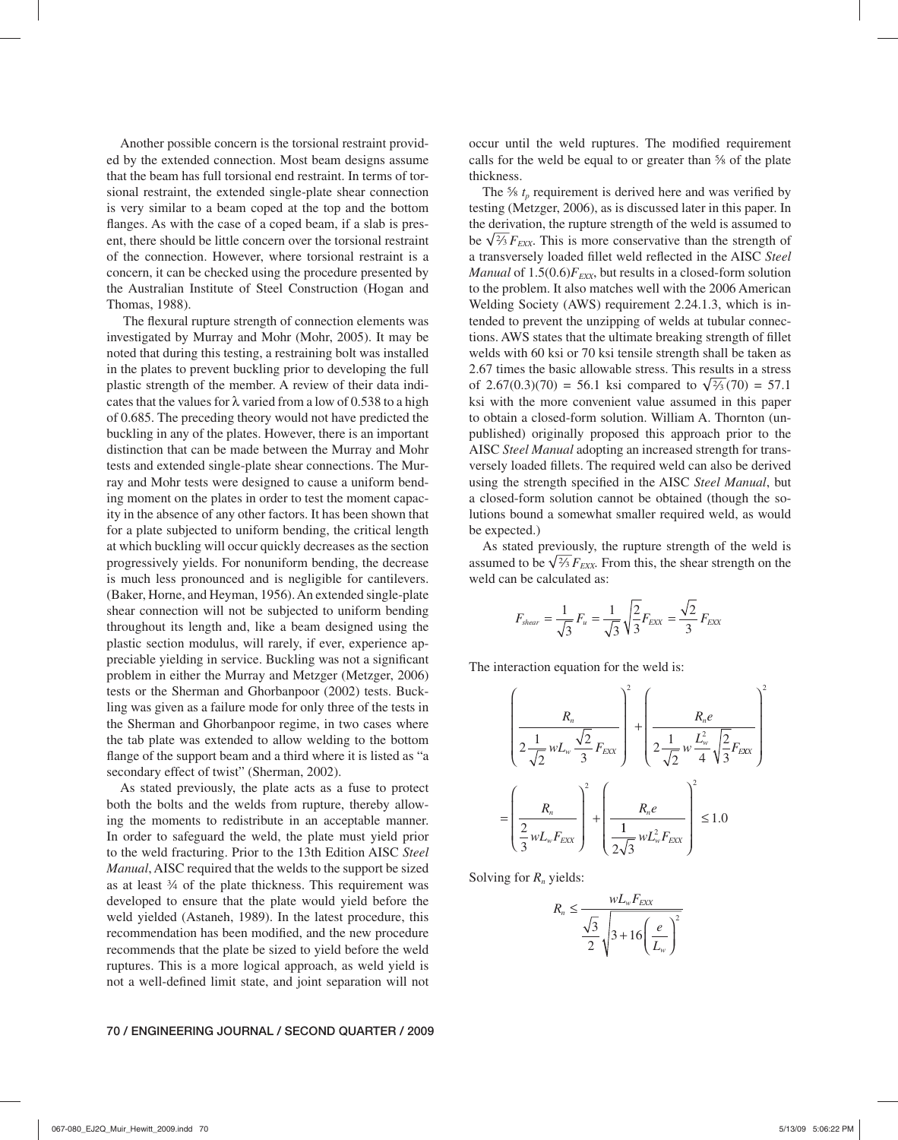Another possible concern is the torsional restraint provided by the extended connection. Most beam designs assume that the beam has full torsional end restraint. In terms of torsional restraint, the extended single-plate shear connection is very similar to a beam coped at the top and the bottom flanges. As with the case of a coped beam, if a slab is present, there should be little concern over the torsional restraint of the connection. However, where torsional restraint is a concern, it can be checked using the procedure presented by the Australian Institute of Steel Construction (Hogan and Thomas, 1988).

The flexural rupture strength of connection elements was investigated by Murray and Mohr (Mohr, 2005). It may be noted that during this testing, a restraining bolt was installed in the plates to prevent buckling prior to developing the full plastic strength of the member. A review of their data indicates that the values for  $\lambda$  varied from a low of 0.538 to a high of 0.685. The preceding theory would not have predicted the buckling in any of the plates. However, there is an important distinction that can be made between the Murray and Mohr tests and extended single-plate shear connections. The Murray and Mohr tests were designed to cause a uniform bending moment on the plates in order to test the moment capacity in the absence of any other factors. It has been shown that for a plate subjected to uniform bending, the critical length at which buckling will occur quickly decreases as the section progressively yields. For nonuniform bending, the decrease is much less pronounced and is negligible for cantilevers. (Baker, Horne, and Heyman, 1956). An extended single-plate shear connection will not be subjected to uniform bending throughout its length and, like a beam designed using the plastic section modulus, will rarely, if ever, experience appreciable yielding in service. Buckling was not a significant problem in either the Murray and Metzger (Metzger, 2006) tests or the Sherman and Ghorbanpoor (2002) tests. Buckling was given as a failure mode for only three of the tests in the Sherman and Ghorbanpoor regime, in two cases where the tab plate was extended to allow welding to the bottom flange of the support beam and a third where it is listed as "a secondary effect of twist" (Sherman, 2002).

As stated previously, the plate acts as a fuse to protect both the bolts and the welds from rupture, thereby allowing the moments to redistribute in an acceptable manner. In order to safeguard the weld, the plate must yield prior to the weld fracturing. Prior to the 13th Edition AISC *Steel Manual*, AISC required that the welds to the support be sized as at least  $\frac{3}{4}$  of the plate thickness. This requirement was developed to ensure that the plate would yield before the weld yielded (Astaneh, 1989). In the latest procedure, this recommendation has been modified, and the new procedure recommends that the plate be sized to yield before the weld ruptures. This is a more logical approach, as weld yield is not a well-defined limit state, and joint separation will not

occur until the weld ruptures. The modified requirement calls for the weld be equal to or greater than  $\frac{5}{8}$  of the plate thickness.

The  $\frac{5}{6}$   $t_n$  requirement is derived here and was verified by testing (Metzger, 2006), as is discussed later in this paper. In the derivation, the rupture strength of the weld is assumed to be  $\sqrt{\frac{2}{3}}F_{\text{EXX}}$ . This is more conservative than the strength of a transversely loaded fillet weld reflected in the AISC Steel *Manual* of  $1.5(0.6)F_{\text{EXX}}$ , but results in a closed-form solution to the problem. It also matches well with the 2006 American Welding Society (AWS) requirement 2.24.1.3, which is intended to prevent the unzipping of welds at tubular connections. AWS states that the ultimate breaking strength of fillet welds with 60 ksi or 70 ksi tensile strength shall be taken as 2.67 times the basic allowable stress. This results in a stress of 2.67(0.3)(70) = 56.1 ksi compared to  $\sqrt{\frac{2}{3}}$ (70) = 57.1 ksi with the more convenient value assumed in this paper to obtain a closed-form solution. William A. Thornton (unpublished) originally proposed this approach prior to the AISC *Steel Manual* adopting an increased strength for transversely loaded fillets. The required weld can also be derived using the strength specified in the AISC Steel Manual, but a closed-form solution cannot be obtained (though the solutions bound a somewhat smaller required weld, as would be expected.)

As stated previously, the rupture strength of the weld is assumed to be  $\sqrt{\frac{2}{3}}F_{\text{EXX}}$ . From this, the shear strength on the weld can be calculated as:

$$
F_{shear} = \frac{1}{\sqrt{3}} F_u = \frac{1}{\sqrt{3}} \sqrt{\frac{2}{3}} F_{EXX} = \frac{\sqrt{2}}{3} F_{EXX}
$$

The interaction equation for the weld is:

$$
\left(\frac{R_n}{2\frac{1}{\sqrt{2}}wL_w\frac{\sqrt{2}}{3}F_{EXX}}\right)^2 + \left(\frac{R_ne}{2\frac{1}{\sqrt{2}}w\frac{L_w^2}{4}\sqrt{\frac{2}{3}}F_{EXX}}\right)^2
$$

$$
= \left(\frac{R_n}{\frac{2}{3}wL_wF_{EXX}}\right)^2 + \left(\frac{R_ne}{\frac{1}{2\sqrt{3}}wL_w^2F_{EXX}}\right)^2 \le 1.0
$$

Solving for *Rn* yields:

$$
R_n \le \frac{wL_wF_{EXX}}{\frac{\sqrt{3}}{2}\sqrt{3+16\left(\frac{e}{L_w}\right)^2}}
$$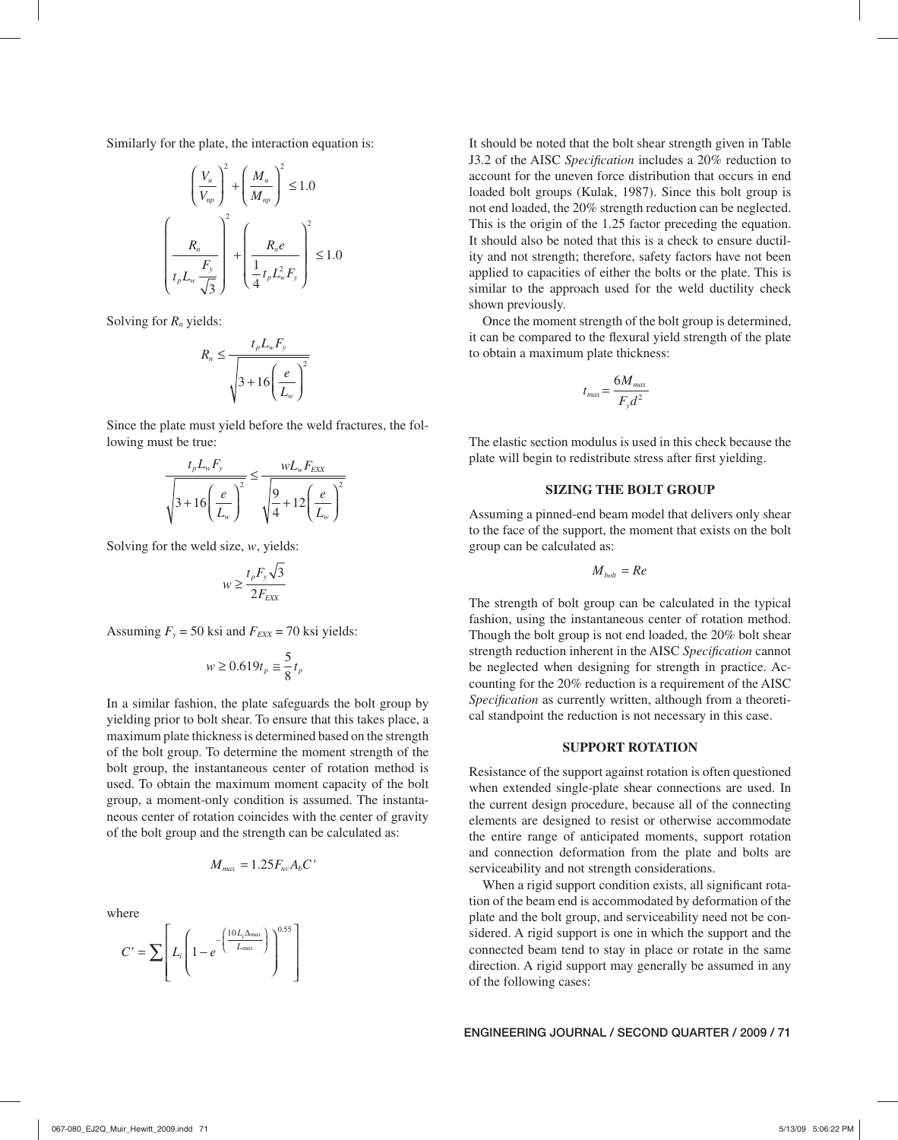Similarly for the plate, the interaction equation is:

$$
\left(\frac{V_u}{V_{np}}\right)^2 + \left(\frac{M_u}{M_{np}}\right)^2 \le 1.0
$$

$$
\left(\frac{R_n}{t_p L_w \frac{F_y}{\sqrt{3}}}\right)^2 + \left(\frac{R_n e}{\frac{1}{4} t_p L_w^2 F_y}\right)^2 \le 1.0
$$

Solving for *Rn* yields:

$$
R_n \le \frac{t_p L_w F_y}{\sqrt{3 + 16 \left(\frac{e}{L_w}\right)^2}}
$$

Since the plate must yield before the weld fractures, the following must be true:

$$
\frac{t_p L_w F_y}{\sqrt{3 + 16\left(\frac{e}{L_w}\right)^2}} \le \frac{w L_w F_{EXX}}{\sqrt{\frac{9}{4} + 12\left(\frac{e}{L_w}\right)^2}}
$$

Solving for the weld size, *w*, yields:

$$
w \ge \frac{t_p F_y \sqrt{3}}{2F_{\text{EXX}}}
$$

Assuming  $F_y = 50$  ksi and  $F_{EXX} = 70$  ksi yields:

$$
w\geq 0.619t_p\cong \frac{5}{8}t_p
$$

In a similar fashion, the plate safeguards the bolt group by yielding prior to bolt shear. To ensure that this takes place, a maximum plate thickness is determined based on the strength of the bolt group. To determine the moment strength of the bolt group, the instantaneous center of rotation method is used. To obtain the maximum moment capacity of the bolt group, a moment-only condition is assumed. The instantaneous center of rotation coincides with the center of gravity of the bolt group and the strength can be calculated as:

$$
M_{\text{max}} = 1.25 F_{\text{nv}} A_b C'
$$

where

$$
C' = \sum \left[ L_i \left( 1 - e^{-\left(\frac{10 L_i \Delta_{max}}{L_{max}}\right)} \right)^{0.55} \right]
$$

It should be noted that the bolt shear strength given in Table J3.2 of the AISC *Specification* includes a 20% reduction to account for the uneven force distribution that occurs in end loaded bolt groups (Kulak, 1987). Since this bolt group is not end loaded, the 20% strength reduction can be neglected. This is the origin of the 1.25 factor preceding the equation. It should also be noted that this is a check to ensure ductility and not strength; therefore, safety factors have not been applied to capacities of either the bolts or the plate. This is similar to the approach used for the weld ductility check shown previously.

Once the moment strength of the bolt group is determined, it can be compared to the flexural yield strength of the plate to obtain a maximum plate thickness:

$$
t_{\text{max}} = \frac{6M_{\text{max}}}{F_{\text{v}}d^2}
$$

The elastic section modulus is used in this check because the plate will begin to redistribute stress after first yielding.

## **SIZING THE BOLT GROUP**

Assuming a pinned-end beam model that delivers only shear to the face of the support, the moment that exists on the bolt group can be calculated as:

$$
M_{\text{bolt}} = Re
$$

The strength of bolt group can be calculated in the typical fashion, using the instantaneous center of rotation method. Though the bolt group is not end loaded, the 20% bolt shear strength reduction inherent in the AISC *Specification* cannot be neglected when designing for strength in practice. Accounting for the 20% reduction is a requirement of the AISC Specification as currently written, although from a theoretical standpoint the reduction is not necessary in this case.

#### **SUPPORT ROTATION**

Resistance of the support against rotation is often questioned when extended single-plate shear connections are used. In the current design procedure, because all of the connecting elements are designed to resist or otherwise accommodate the entire range of anticipated moments, support rotation and connection deformation from the plate and bolts are serviceability and not strength considerations.

When a rigid support condition exists, all significant rotation of the beam end is accommodated by deformation of the plate and the bolt group, and serviceability need not be considered. A rigid support is one in which the support and the connected beam tend to stay in place or rotate in the same direction. A rigid support may generally be assumed in any of the following cases: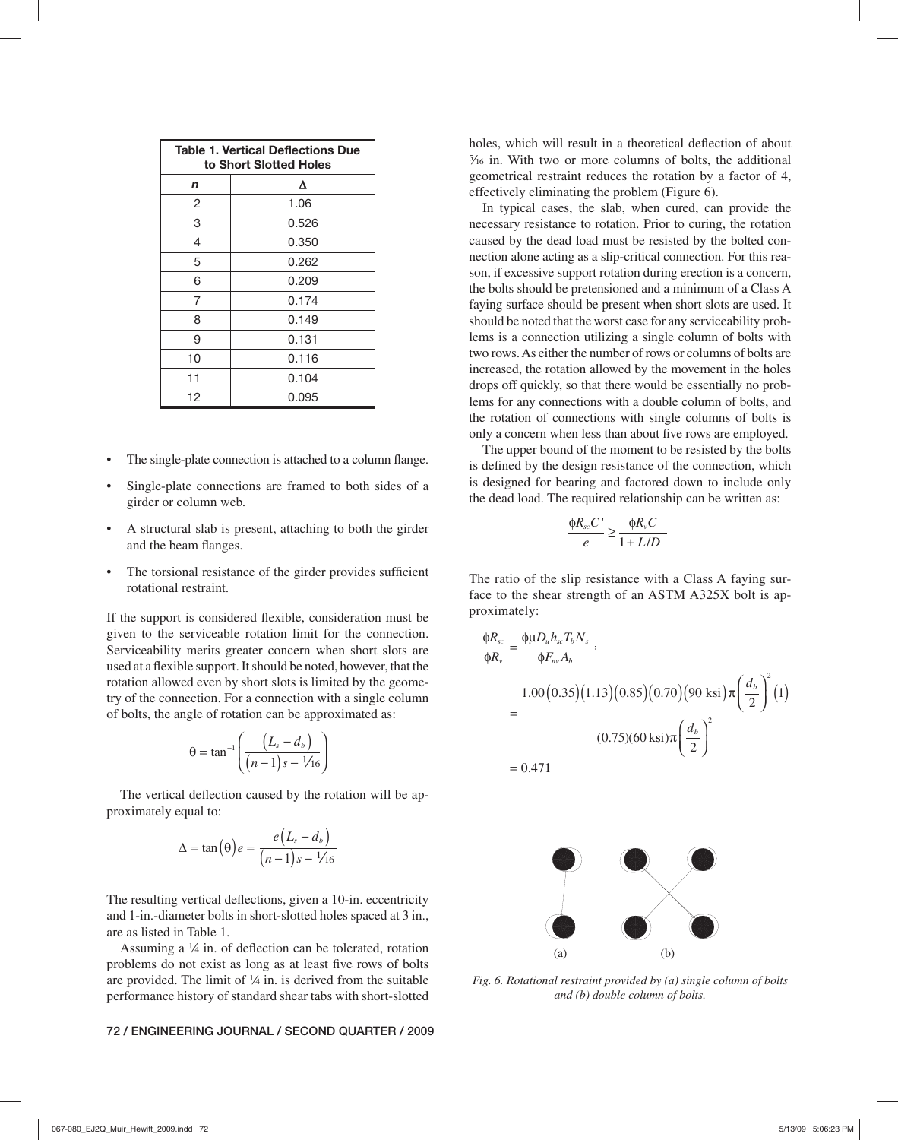| <b>Table 1. Vertical Deflections Due</b><br>to Short Slotted Holes |       |  |  |  |
|--------------------------------------------------------------------|-------|--|--|--|
| n                                                                  | Δ     |  |  |  |
| 2                                                                  | 1.06  |  |  |  |
| 3                                                                  | 0.526 |  |  |  |
| 4                                                                  | 0.350 |  |  |  |
| 5                                                                  | 0.262 |  |  |  |
| 6                                                                  | 0.209 |  |  |  |
| 7                                                                  | 0.174 |  |  |  |
| 8                                                                  | 0.149 |  |  |  |
| 9                                                                  | 0.131 |  |  |  |
| 10                                                                 | 0.116 |  |  |  |
| 11                                                                 | 0.104 |  |  |  |
| 12                                                                 | 0.095 |  |  |  |

- The single-plate connection is attached to a column flange.
- Single-plate connections are framed to both sides of a girder or column web.
- A structural slab is present, attaching to both the girder and the beam flanges.
- The torsional resistance of the girder provides sufficient rotational restraint.

If the support is considered flexible, consideration must be given to the serviceable rotation limit for the connection. Serviceability merits greater concern when short slots are used at a flexible support. It should be noted, however, that the rotation allowed even by short slots is limited by the geometry of the connection. For a connection with a single column of bolts, the angle of rotation can be approximated as:

$$
\theta = \tan^{-1}\left(\frac{\left(L_s - d_b\right)}{\left(n-1\right)s - \frac{1}{16}}\right)
$$

The vertical deflection caused by the rotation will be approximately equal to:

$$
\Delta = \tan(\theta) e = \frac{e(L_s - d_b)}{(n-1)s - \frac{1}{16}}
$$

The resulting vertical deflections, given a 10-in. eccentricity and 1-in.-diameter bolts in short-slotted holes spaced at 3 in., are as listed in Table 1.

Assuming a  $\frac{1}{4}$  in. of deflection can be tolerated, rotation problems do not exist as long as at least five rows of bolts are provided. The limit of  $\frac{1}{4}$  in. is derived from the suitable performance history of standard shear tabs with short-slotted

#### **72 / ENGINEERING JOURNAL / SECOND QUARTER / 2009**

holes, which will result in a theoretical deflection of about  $\frac{5}{16}$  in. With two or more columns of bolts, the additional geometrical restraint reduces the rotation by a factor of 4, effectively eliminating the problem (Figure 6).

In typical cases, the slab, when cured, can provide the necessary resistance to rotation. Prior to curing, the rotation caused by the dead load must be resisted by the bolted connection alone acting as a slip-critical connection. For this reason, if excessive support rotation during erection is a concern, the bolts should be pretensioned and a minimum of a Class A faying surface should be present when short slots are used. It should be noted that the worst case for any serviceability problems is a connection utilizing a single column of bolts with two rows. As either the number of rows or columns of bolts are increased, the rotation allowed by the movement in the holes drops off quickly, so that there would be essentially no problems for any connections with a double column of bolts, and the rotation of connections with single columns of bolts is only a concern when less than about five rows are employed.

The upper bound of the moment to be resisted by the bolts is defined by the design resistance of the connection, which is designed for bearing and factored down to include only the dead load. The required relationship can be written as:

$$
\frac{\phi R_{sc}C^{\prime}}{e} \ge \frac{\phi R_{v}C}{1 + L/D}
$$

The ratio of the slip resistance with a Class A faying surface to the shear strength of an ASTM A325X bolt is approximately:

$$
\frac{\phi R_{sc}}{\phi R_{v}} = \frac{\phi \mu D_{u} h_{sc} T_{b} N_{s}}{\phi F_{nv} A_{b}}
$$
  
= 
$$
\frac{1.00(0.35)(1.13)(0.85)(0.70)(90 \text{ ksi})\pi \left(\frac{d_{b}}{2}\right)^{2}(1)}{(0.75)(60 \text{ ksi})\pi \left(\frac{d_{b}}{2}\right)^{2}}
$$
  
= 0.471



*Fig. 6. Rotational restraint provided by (a) single column of bolts and (b) double column of bolts.*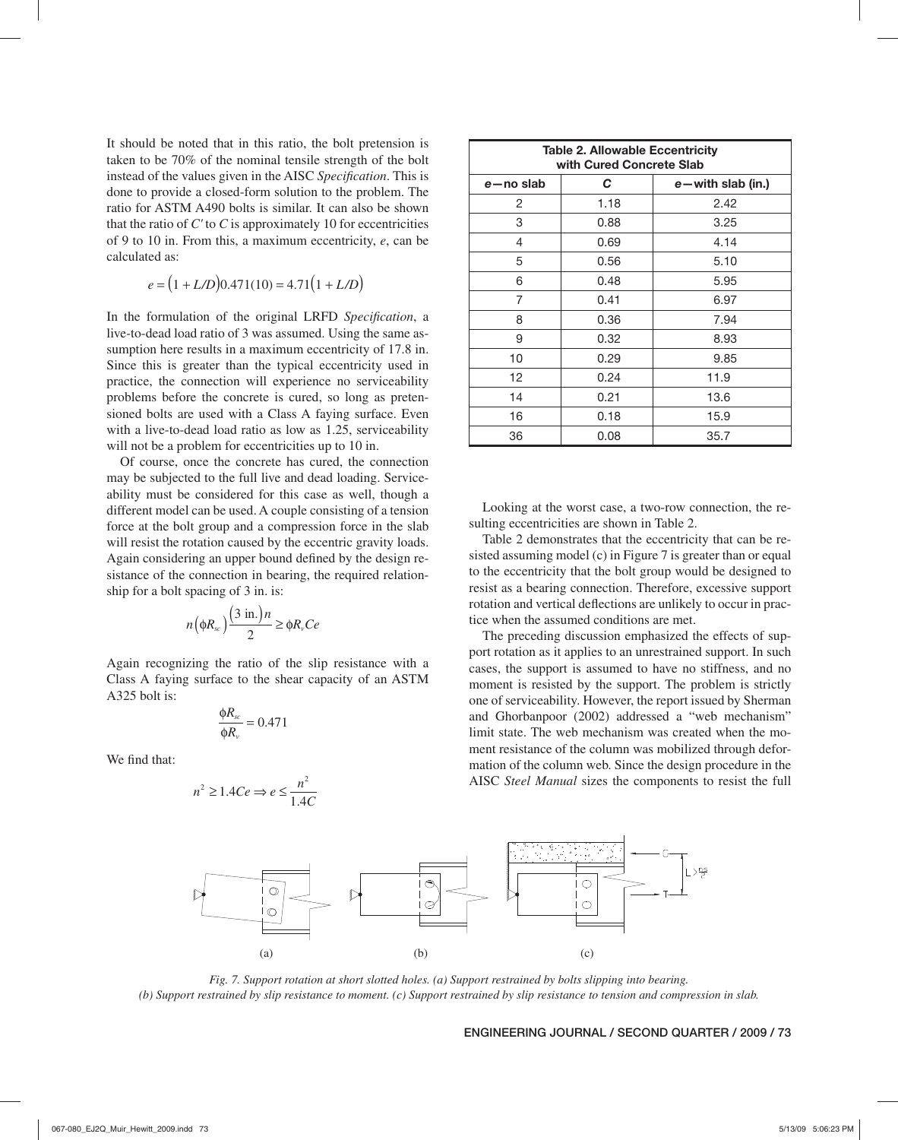It should be noted that in this ratio, the bolt pretension is taken to be 70% of the nominal tensile strength of the bolt instead of the values given in the AISC *Specification*. This is done to provide a closed-form solution to the problem. The ratio for ASTM A490 bolts is similar. It can also be shown that the ratio of *C'* to *C* is approximately 10 for eccentricities of 9 to 10 in. From this, a maximum eccentricity, *e*, can be calculated as:

$$
e = (1 + L/D)0.471(10) = 4.71(1 + L/D)
$$

In the formulation of the original LRFD *Specification*, a live-to-dead load ratio of 3 was assumed. Using the same assumption here results in a maximum eccentricity of 17.8 in. Since this is greater than the typical eccentricity used in practice, the connection will experience no serviceability problems before the concrete is cured, so long as pretensioned bolts are used with a Class A faying surface. Even with a live-to-dead load ratio as low as 1.25, serviceability will not be a problem for eccentricities up to 10 in.

Of course, once the concrete has cured, the connection may be subjected to the full live and dead loading. Serviceability must be considered for this case as well, though a different model can be used. A couple consisting of a tension force at the bolt group and a compression force in the slab will resist the rotation caused by the eccentric gravity loads. Again considering an upper bound defined by the design resistance of the connection in bearing, the required relationship for a bolt spacing of 3 in. is:

$$
n\left(\phi R_{sc}\right)\frac{\left(3\text{ in.}\right)n}{2} \ge \phi R_{v}Ce
$$

Again recognizing the ratio of the slip resistance with a Class A faying surface to the shear capacity of an ASTM A325 bolt is:

$$
\frac{\phi R_{sc}}{\phi R_v} = 0.471
$$

We find that:

$$
n^2 \ge 1.4Ce \Rightarrow e \le \frac{n^2}{1.4C}
$$

| <b>Table 2. Allowable Eccentricity</b><br>with Cured Concrete Slab |      |                       |  |
|--------------------------------------------------------------------|------|-----------------------|--|
| e-no slab                                                          | С    | $e$ – with slab (in.) |  |
| 2                                                                  | 1.18 | 2.42                  |  |
| 3                                                                  | 0.88 | 3.25                  |  |
| 4                                                                  | 0.69 | 4.14                  |  |
| 5                                                                  | 0.56 | 5.10                  |  |
| 6                                                                  | 0.48 | 5.95                  |  |
| 7                                                                  | 0.41 | 6.97                  |  |
| 8                                                                  | 0.36 | 7.94                  |  |
| 9                                                                  | 0.32 | 8.93                  |  |
| 10                                                                 | 0.29 | 9.85                  |  |
| 12                                                                 | 0.24 | 11.9                  |  |
| 14                                                                 | 0.21 | 13.6                  |  |
| 16                                                                 | 0.18 | 15.9                  |  |
| 36                                                                 | 0.08 | 35.7                  |  |

Looking at the worst case, a two-row connection, the resulting eccentricities are shown in Table 2.

Table 2 demonstrates that the eccentricity that can be resisted assuming model (c) in Figure 7 is greater than or equal to the eccentricity that the bolt group would be designed to resist as a bearing connection. Therefore, excessive support rotation and vertical deflections are unlikely to occur in practice when the assumed conditions are met.

The preceding discussion emphasized the effects of support rotation as it applies to an unrestrained support. In such cases, the support is assumed to have no stiffness, and no moment is resisted by the support. The problem is strictly one of serviceability. However, the report issued by Sherman and Ghorbanpoor (2002) addressed a "web mechanism" limit state. The web mechanism was created when the moment resistance of the column was mobilized through deformation of the column web. Since the design procedure in the AISC *Steel Manual* sizes the components to resist the full



*Fig. 7. Support rotation at short slotted holes. (a) Support restrained by bolts slipping into bearing. (b) Support restrained by slip resistance to moment. (c) Support restrained by slip resistance to tension and compression in slab.*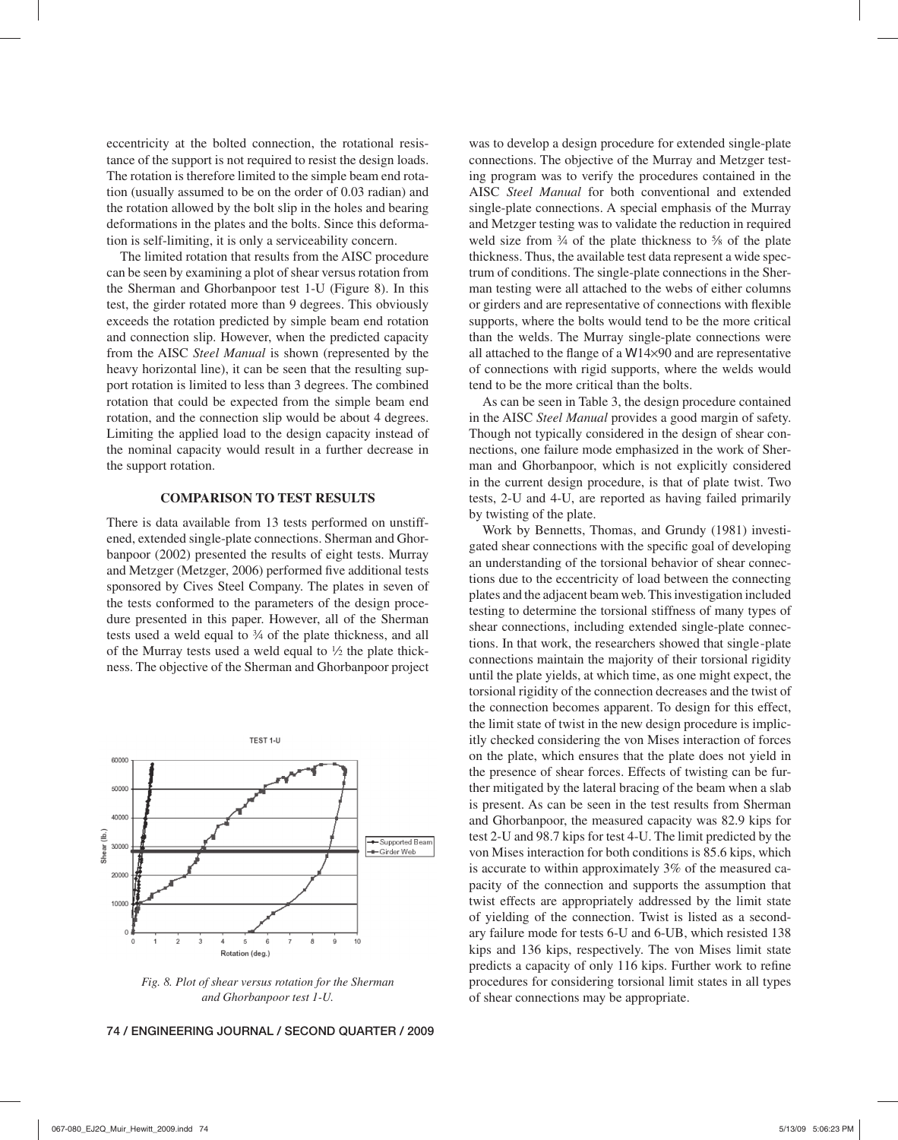eccentricity at the bolted connection, the rotational resistance of the support is not required to resist the design loads. The rotation is therefore limited to the simple beam end rotation (usually assumed to be on the order of 0.03 radian) and the rotation allowed by the bolt slip in the holes and bearing deformations in the plates and the bolts. Since this deformation is self-limiting, it is only a serviceability concern.

The limited rotation that results from the AISC procedure can be seen by examining a plot of shear versus rotation from the Sherman and Ghorbanpoor test 1-U (Figure 8). In this test, the girder rotated more than 9 degrees. This obviously exceeds the rotation predicted by simple beam end rotation and connection slip. However, when the predicted capacity from the AISC *Steel Manual* is shown (represented by the heavy horizontal line), it can be seen that the resulting support rotation is limited to less than 3 degrees. The combined rotation that could be expected from the simple beam end rotation, and the connection slip would be about 4 degrees. Limiting the applied load to the design capacity instead of the nominal capacity would result in a further decrease in the support rotation.

#### **COMPARISON TO TEST RESULTS**

There is data available from 13 tests performed on unstiffened, extended single-plate connections. Sherman and Ghorbanpoor (2002) presented the results of eight tests. Murray and Metzger (Metzger, 2006) performed five additional tests sponsored by Cives Steel Company. The plates in seven of the tests conformed to the parameters of the design procedure presented in this paper. However, all of the Sherman tests used a weld equal to  $\frac{3}{4}$  of the plate thickness, and all of the Murray tests used a weld equal to  $\frac{1}{2}$  the plate thickness. The objective of the Sherman and Ghorbanpoor project



*Fig. 8. Plot of shear versus rotation for the Sherman and Ghorbanpoor test 1-U.*

was to develop a design procedure for extended single-plate connections. The objective of the Murray and Metzger testing program was to verify the procedures contained in the AISC *Steel Manual* for both conventional and extended single-plate connections. A special emphasis of the Murray and Metzger testing was to validate the reduction in required weld size from  $\frac{3}{4}$  of the plate thickness to  $\frac{5}{8}$  of the plate thickness. Thus, the available test data represent a wide spectrum of conditions. The single-plate connections in the Sherman testing were all attached to the webs of either columns or girders and are representative of connections with flexible supports, where the bolts would tend to be the more critical than the welds. The Murray single-plate connections were all attached to the flange of a  $W14\times90$  and are representative of connections with rigid supports, where the welds would tend to be the more critical than the bolts.

As can be seen in Table 3, the design procedure contained in the AISC *Steel Manual* provides a good margin of safety. Though not typically considered in the design of shear connections, one failure mode emphasized in the work of Sherman and Ghorbanpoor, which is not explicitly considered in the current design procedure, is that of plate twist. Two tests, 2-U and 4-U, are reported as having failed primarily by twisting of the plate.

Work by Bennetts, Thomas, and Grundy (1981) investigated shear connections with the specific goal of developing an understanding of the torsional behavior of shear connections due to the eccentricity of load between the connecting plates and the adjacent beam web. This investigation included testing to determine the torsional stiffness of many types of shear connections, including extended single-plate connections. In that work, the researchers showed that single -plate connections maintain the majority of their torsional rigidity until the plate yields, at which time, as one might expect, the torsional rigidity of the connection decreases and the twist of the connection becomes apparent. To design for this effect, the limit state of twist in the new design procedure is implicitly checked considering the von Mises interaction of forces on the plate, which ensures that the plate does not yield in the presence of shear forces. Effects of twisting can be further mitigated by the lateral bracing of the beam when a slab is present. As can be seen in the test results from Sherman and Ghorbanpoor, the measured capacity was 82.9 kips for test 2-U and 98.7 kips for test 4-U. The limit predicted by the von Mises interaction for both conditions is 85.6 kips, which is accurate to within approximately 3% of the measured capacity of the connection and supports the assumption that twist effects are appropriately addressed by the limit state of yielding of the connection. Twist is listed as a secondary failure mode for tests 6-U and 6-UB, which resisted 138 kips and 136 kips, respectively. The von Mises limit state predicts a capacity of only 116 kips. Further work to refine procedures for considering torsional limit states in all types of shear connections may be appropriate.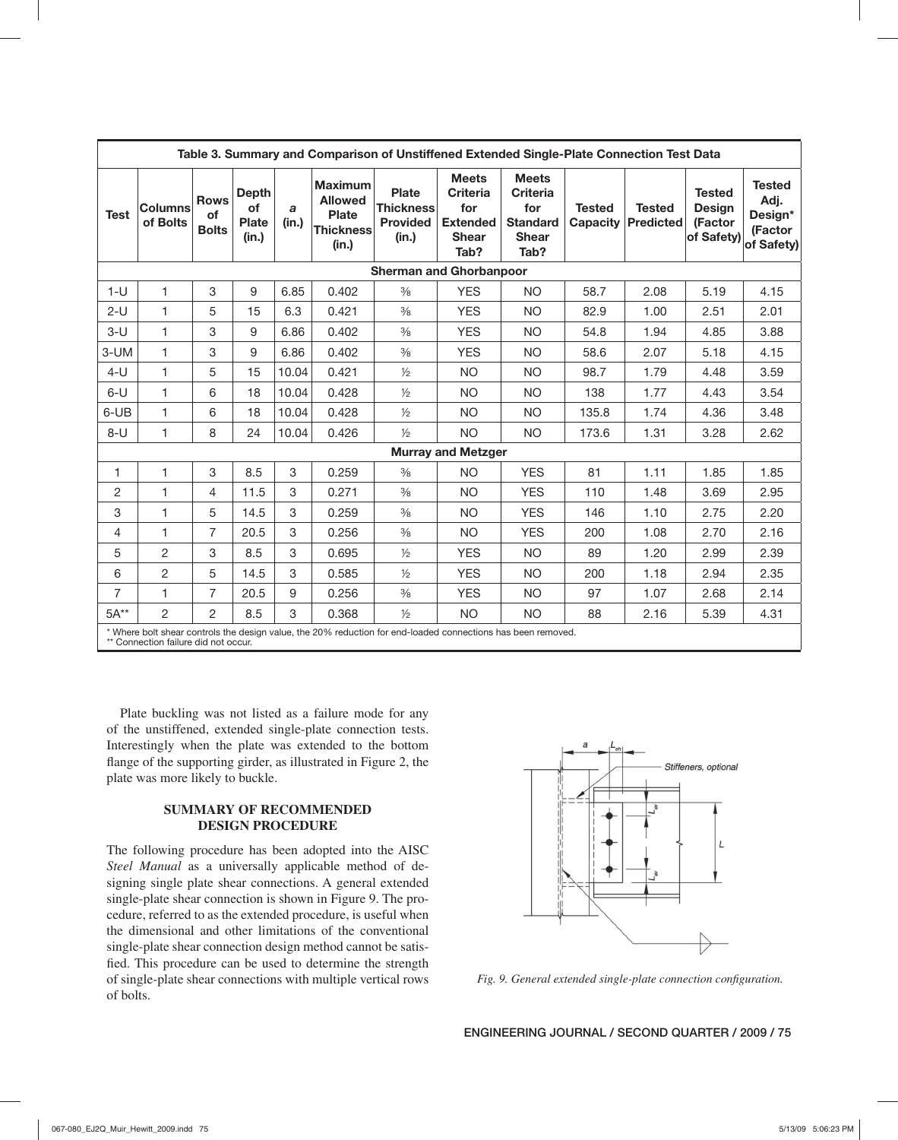| Table 3. Summary and Comparison of Unstiffened Extended Single-Plate Connection Test Data |                                                                                                              |                                   |                                                    |            |                                                                               |                                                              |                                                                                   |                                                                                   |                                  |                                   |                                                         |                                                           |
|-------------------------------------------------------------------------------------------|--------------------------------------------------------------------------------------------------------------|-----------------------------------|----------------------------------------------------|------------|-------------------------------------------------------------------------------|--------------------------------------------------------------|-----------------------------------------------------------------------------------|-----------------------------------------------------------------------------------|----------------------------------|-----------------------------------|---------------------------------------------------------|-----------------------------------------------------------|
| <b>Test</b>                                                                               | <b>Columns</b><br>of Bolts                                                                                   | <b>Rows</b><br>of<br><b>Bolts</b> | <b>Depth</b><br><b>of</b><br><b>Plate</b><br>(in.) | a<br>(in.) | <b>Maximum</b><br><b>Allowed</b><br><b>Plate</b><br><b>Thickness</b><br>(in.) | <b>Plate</b><br><b>Thickness</b><br><b>Provided</b><br>(in.) | <b>Meets</b><br><b>Criteria</b><br>for<br><b>Extended</b><br><b>Shear</b><br>Tab? | <b>Meets</b><br><b>Criteria</b><br>for<br><b>Standard</b><br><b>Shear</b><br>Tab? | <b>Tested</b><br><b>Capacity</b> | <b>Tested</b><br><b>Predicted</b> | <b>Tested</b><br><b>Design</b><br>(Factor<br>of Safety) | <b>Tested</b><br>Adj.<br>Design*<br>(Factor<br>of Safety) |
|                                                                                           |                                                                                                              |                                   |                                                    |            |                                                                               |                                                              | <b>Sherman and Ghorbanpoor</b>                                                    |                                                                                   |                                  |                                   |                                                         |                                                           |
| $1-U$                                                                                     | $\mathbf{1}$                                                                                                 | 3                                 | 9                                                  | 6.85       | 0.402                                                                         | $\frac{3}{8}$                                                | <b>YES</b>                                                                        | <b>NO</b>                                                                         | 58.7                             | 2.08                              | 5.19                                                    | 4.15                                                      |
| $2-U$                                                                                     | $\mathbf{1}$                                                                                                 | 5                                 | 15                                                 | 6.3        | 0.421                                                                         | $\frac{3}{8}$                                                | <b>YES</b>                                                                        | <b>NO</b>                                                                         | 82.9                             | 1.00                              | 2.51                                                    | 2.01                                                      |
| $3-U$                                                                                     | $\mathbf{1}$                                                                                                 | 3                                 | 9                                                  | 6.86       | 0.402                                                                         | $\frac{3}{8}$                                                | <b>YES</b>                                                                        | <b>NO</b>                                                                         | 54.8                             | 1.94                              | 4.85                                                    | 3.88                                                      |
| 3-UM                                                                                      | $\mathbf{1}$                                                                                                 | 3                                 | 9                                                  | 6.86       | 0.402                                                                         | $\frac{3}{8}$                                                | <b>YES</b>                                                                        | <b>NO</b>                                                                         | 58.6                             | 2.07                              | 5.18                                                    | 4.15                                                      |
| $4-U$                                                                                     | $\mathbf{1}$                                                                                                 | 5                                 | 15                                                 | 10.04      | 0.421                                                                         | $\frac{1}{2}$                                                | <b>NO</b>                                                                         | <b>NO</b>                                                                         | 98.7                             | 1.79                              | 4.48                                                    | 3.59                                                      |
| $6-U$                                                                                     | 1                                                                                                            | 6                                 | 18                                                 | 10.04      | 0.428                                                                         | $\frac{1}{2}$                                                | <b>NO</b>                                                                         | <b>NO</b>                                                                         | 138                              | 1.77                              | 4.43                                                    | 3.54                                                      |
| 6-UB                                                                                      | 1                                                                                                            | 6                                 | 18                                                 | 10.04      | 0.428                                                                         | $\frac{1}{2}$                                                | NO.                                                                               | <b>NO</b>                                                                         | 135.8                            | 1.74                              | 4.36                                                    | 3.48                                                      |
| $8-U$                                                                                     | 1                                                                                                            | 8                                 | 24                                                 | 10.04      | 0.426                                                                         | $\frac{1}{2}$                                                | <b>NO</b>                                                                         | <b>NO</b>                                                                         | 173.6                            | 1.31                              | 3.28                                                    | 2.62                                                      |
|                                                                                           | <b>Murray and Metzger</b>                                                                                    |                                   |                                                    |            |                                                                               |                                                              |                                                                                   |                                                                                   |                                  |                                   |                                                         |                                                           |
| 1                                                                                         | 1                                                                                                            | 3                                 | 8.5                                                | 3          | 0.259                                                                         | $\frac{3}{8}$                                                | <b>NO</b>                                                                         | <b>YES</b>                                                                        | 81                               | 1.11                              | 1.85                                                    | 1.85                                                      |
| $\overline{2}$                                                                            | 1                                                                                                            | 4                                 | 11.5                                               | 3          | 0.271                                                                         | $\frac{3}{8}$                                                | <b>NO</b>                                                                         | <b>YES</b>                                                                        | 110                              | 1.48                              | 3.69                                                    | 2.95                                                      |
| 3                                                                                         | 1                                                                                                            | 5                                 | 14.5                                               | 3          | 0.259                                                                         | $\frac{3}{8}$                                                | <b>NO</b>                                                                         | <b>YES</b>                                                                        | 146                              | 1.10                              | 2.75                                                    | 2.20                                                      |
| 4                                                                                         | 1                                                                                                            | 7                                 | 20.5                                               | 3          | 0.256                                                                         | $\frac{3}{8}$                                                | <b>NO</b>                                                                         | <b>YES</b>                                                                        | 200                              | 1.08                              | 2.70                                                    | 2.16                                                      |
| 5                                                                                         | 2                                                                                                            | 3                                 | 8.5                                                | 3          | 0.695                                                                         | $\frac{1}{2}$                                                | <b>YES</b>                                                                        | <b>NO</b>                                                                         | 89                               | 1.20                              | 2.99                                                    | 2.39                                                      |
| 6                                                                                         | 2                                                                                                            | 5                                 | 14.5                                               | 3          | 0.585                                                                         | $\frac{1}{2}$                                                | <b>YES</b>                                                                        | <b>NO</b>                                                                         | 200                              | 1.18                              | 2.94                                                    | 2.35                                                      |
| $\overline{7}$                                                                            | 1                                                                                                            | $\overline{7}$                    | 20.5                                               | 9          | 0.256                                                                         | $\frac{3}{8}$                                                | <b>YES</b>                                                                        | <b>NO</b>                                                                         | 97                               | 1.07                              | 2.68                                                    | 2.14                                                      |
| $5A***$                                                                                   | $\overline{2}$                                                                                               | $\overline{2}$                    | 8.5                                                | 3          | 0.368                                                                         | $\frac{1}{2}$                                                | <b>NO</b>                                                                         | <b>NO</b>                                                                         | 88                               | 2.16                              | 5.39                                                    | 4.31                                                      |
|                                                                                           | * Where bolt shear controls the design value, the 20% reduction for end-loaded connections has been removed. |                                   |                                                    |            |                                                                               |                                                              |                                                                                   |                                                                                   |                                  |                                   |                                                         |                                                           |

\* Where bolt shear controls the design value, the 20% reduction for end-loaded connections has been removed. \*\* Connection failure did not occur.

Plate buckling was not listed as a failure mode for any of the unstiffened, extended single-plate connection tests. Interestingly when the plate was extended to the bottom flange of the supporting girder, as illustrated in Figure 2, the plate was more likely to buckle.

## **SUMMARY OF RECOMMENDED DESIGN PROCEDURE**

The following procedure has been adopted into the AISC *Steel Manual* as a universally applicable method of designing single plate shear connections. A general extended single-plate shear connection is shown in Figure 9. The procedure, referred to as the extended procedure, is useful when the dimensional and other limitations of the conventional single-plate shear connection design method cannot be satisfied. This procedure can be used to determine the strength of single-plate shear connections with multiple vertical rows of bolts.



Fig. 9. General extended single-plate connection configuration.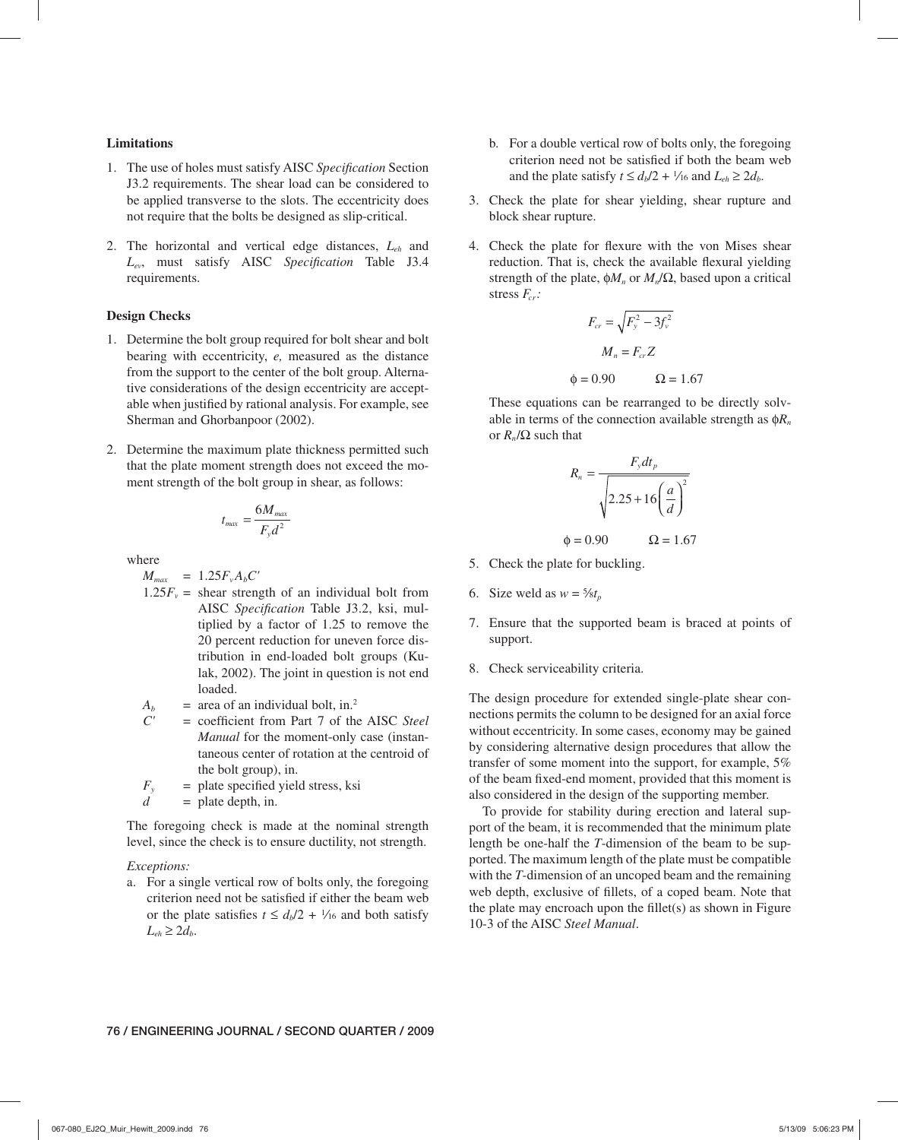## **Limitations**

- 1. The use of holes must satisfy AISC *Specification* Section J3.2 requirements. The shear load can be considered to be applied transverse to the slots. The eccentricity does not require that the bolts be designed as slip-critical.
- 2. The horizontal and vertical edge distances, *Leh* and L<sub>ev</sub>, must satisfy AISC Specification Table J3.4 requirements.

### **Design Checks**

- 1. Determine the bolt group required for bolt shear and bolt bearing with eccentricity, *e,* measured as the distance from the support to the center of the bolt group. Alternative considerations of the design eccentricity are acceptable when justified by rational analysis. For example, see Sherman and Ghorbanpoor (2002).
- 2. Determine the maximum plate thickness permitted such that the plate moment strength does not exceed the moment strength of the bolt group in shear, as follows:

$$
t_{\text{max}} = \frac{6M_{\text{max}}}{F_{y}d^{2}}
$$

where

 $M_{max}$  = 1.25 $F_v A_b C'$ 

- $1.25F_v =$  shear strength of an individual bolt from AISC Specification Table J3.2, ksi, multiplied by a factor of 1.25 to remove the 20 percent reduction for uneven force distribution in end-loaded bolt groups (Kulak, 2002). The joint in question is not end loaded.
- $A_b$  = area of an individual bolt, in.<sup>2</sup><br>  $C'$  = coefficient from Part 7 of the
- $=$  coefficient from Part 7 of the AISC *Steel Manual* for the moment-only case (instantaneous center of rotation at the centroid of the bolt group), in.
- $F_y$  = plate specified yield stress, ksi
- $d =$  plate depth, in.

The foregoing check is made at the nominal strength level, since the check is to ensure ductility, not strength.

#### *Exceptions:*

a. For a single vertical row of bolts only, the foregoing criterion need not be satisfied if either the beam web or the plate satisfies  $t \le d_b/2 + \frac{1}{16}$  and both satisfy  $L_{eh} \geq 2d_b$ .

- b. For a double vertical row of bolts only, the foregoing criterion need not be satisfied if both the beam web and the plate satisfy  $t \le d_b/2 + \frac{1}{16}$  and  $L_{eh} \ge 2d_b$ .
- 3. Check the plate for shear yielding, shear rupture and block shear rupture.
- 4. Check the plate for flexure with the von Mises shear reduction. That is, check the available flexural yielding strength of the plate,  $\phi M_n$  or  $M_n/\Omega$ , based upon a critical stress  $F_{cr}$ :

$$
F_{cr} = \sqrt{F_y^2 - 3f_v^2}
$$

$$
M_n = F_{cr}Z
$$

$$
\phi = 0.90 \qquad \Omega = 1.67
$$

These equations can be rearranged to be directly solvable in terms of the connection available strength as  $\phi R_n$ or  $R_n$ /Ω such that

$$
R_n = \frac{F_y dt_p}{\sqrt{2.25 + 16\left(\frac{a}{d}\right)^2}}
$$

 $\phi = 0.90$   $\Omega = 1.67$ 

- 5. Check the plate for buckling.
- 6. Size weld as  $w = \frac{5}{8}t_p$
- 7. Ensure that the supported beam is braced at points of support.
- 8. Check serviceability criteria.

The design procedure for extended single-plate shear connections permits the column to be designed for an axial force without eccentricity. In some cases, economy may be gained by considering alternative design procedures that allow the transfer of some moment into the support, for example, 5% of the beam fi xed-end moment, provided that this moment is also considered in the design of the supporting member.

To provide for stability during erection and lateral support of the beam, it is recommended that the minimum plate length be one-half the *T*-dimension of the beam to be supported. The maximum length of the plate must be compatible with the *T*-dimension of an uncoped beam and the remaining web depth, exclusive of fillets, of a coped beam. Note that the plate may encroach upon the fillet(s) as shown in Figure 10-3 of the AISC *Steel Manual*.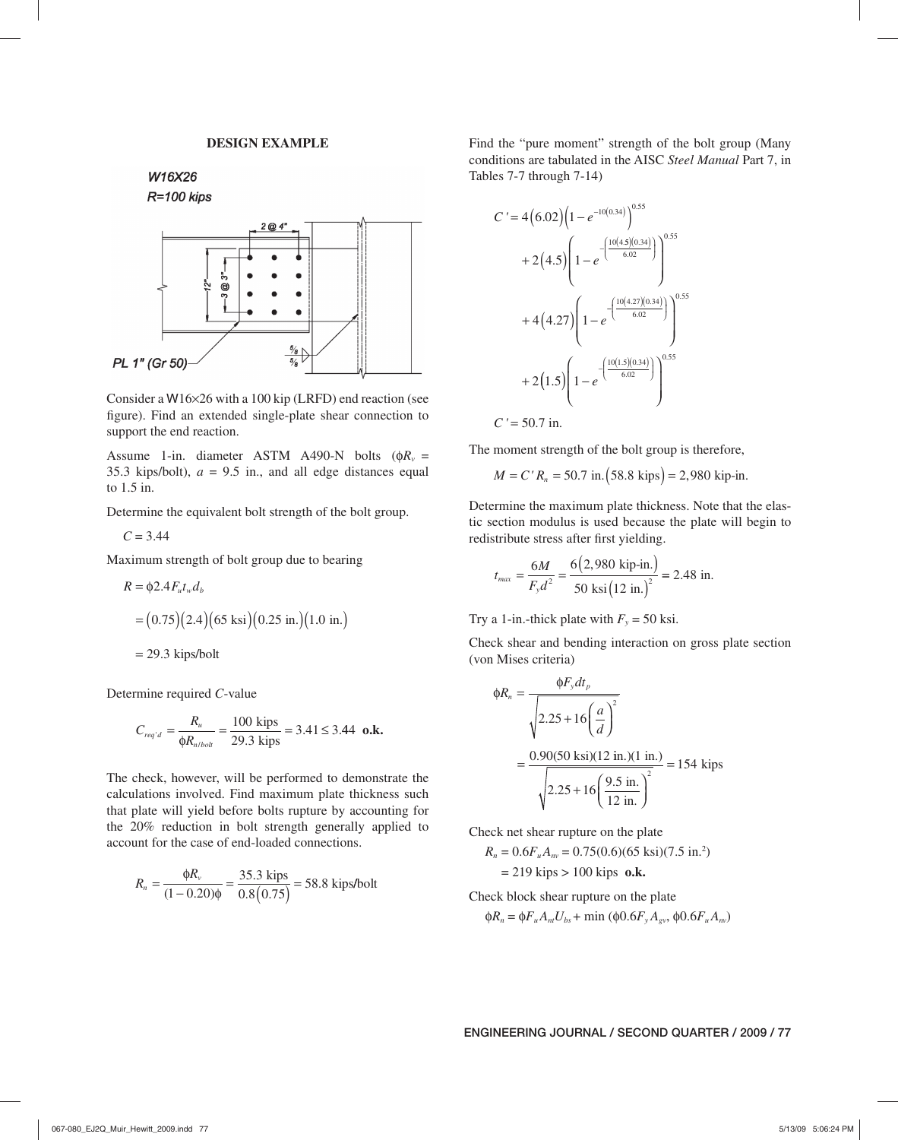## **DESIGN EXAMPLE**

W16X26

```
R=100 kips
```


Consider a W16×26 with a 100 kip (LRFD) end reaction (see figure). Find an extended single-plate shear connection to support the end reaction.

Assume 1-in. diameter ASTM A490-N bolts ( $\phi R_v$  = 35.3 kips/bolt),  $a = 9.5$  in., and all edge distances equal to 1.5 in.

Determine the equivalent bolt strength of the bolt group.

 $C = 3.44$ 

Maximum strength of bolt group due to bearing

$$
R = \phi 2.4 F_u t_w d_b
$$
  
= (0.75)(2.4)(65 ksi)(0.25 in.(1.0 in.)  
= 29.3 kips/bolt

Determine required *C*-value

$$
C_{req'd} = \frac{R_u}{\phi R_{n/bolt}} = \frac{100 \text{ kips}}{29.3 \text{ kips}} = 3.41 \le 3.44 \text{ o.k.}
$$

The check, however, will be performed to demonstrate the calculations involved. Find maximum plate thickness such that plate will yield before bolts rupture by accounting for the 20% reduction in bolt strength generally applied to account for the case of end-loaded connections.

$$
R_n = \frac{\phi R_v}{(1 - 0.20)\phi} = \frac{35.3 \text{ kips}}{0.8(0.75)} = 58.8 \text{ kips/bolt}
$$

Find the "pure moment" strength of the bolt group (Many conditions are tabulated in the AISC *Steel Manual* Part 7, in Tables 7-7 through 7-14)

$$
C' = 4(6.02)\left(1 - e^{-10(0.34)}\right)^{0.55}
$$
  
+ 2(4.5)\left(1 - e^{-\frac{10(4.5)(0.34)}{6.02}}\right)^{0.55}  
+ 4(4.27)\left(1 - e^{-\frac{10(4.27)(0.34)}{6.02}}\right)^{0.55}  
+ 2(1.5)\left(1 - e^{-\frac{10(1.5)(0.34)}{6.02}}\right)^{0.55}  
C' = 50.7 in.

The moment strength of the bolt group is therefore,

$$
M = C' R_n = 50.7
$$
 in.(58.8 kips) = 2,980 kip-in.

Determine the maximum plate thickness. Note that the elastic section modulus is used because the plate will begin to redistribute stress after first yielding.

$$
t_{max} = \frac{6M}{F_{y}d^{2}} = \frac{6(2,980 \text{ kip-in.})}{50 \text{ ksi} (12 \text{ in.})^{2}} = 2.48 \text{ in.}
$$

Try a 1-in.-thick plate with  $F_y = 50$  ksi.

Check shear and bending interaction on gross plate section (von Mises criteria)

$$
\phi R_n = \frac{\phi F_y dt_p}{\sqrt{2.25 + 16 \left(\frac{a}{d}\right)^2}}
$$
  
= 
$$
\frac{0.90(50 \text{ ksi})(12 \text{ in.})(1 \text{ in.})}{\sqrt{2.25 + 16 \left(\frac{9.5 \text{ in.}}{12 \text{ in.}}\right)^2}} = 154 \text{ kips}
$$

Check net shear rupture on the plate

$$
R_n = 0.6F_u A_{nv} = 0.75(0.6)(65 \text{ ksi})(7.5 \text{ in.}^2)
$$
  
= 219 kips > 100 kips **o.k.**

Check block shear rupture on the plate

 $\phi R_n = \phi F_u A_{nt} U_{bs} + \min (\phi 0.6 F_v A_{\nu} , \phi 0.6 F_u A_{nv})$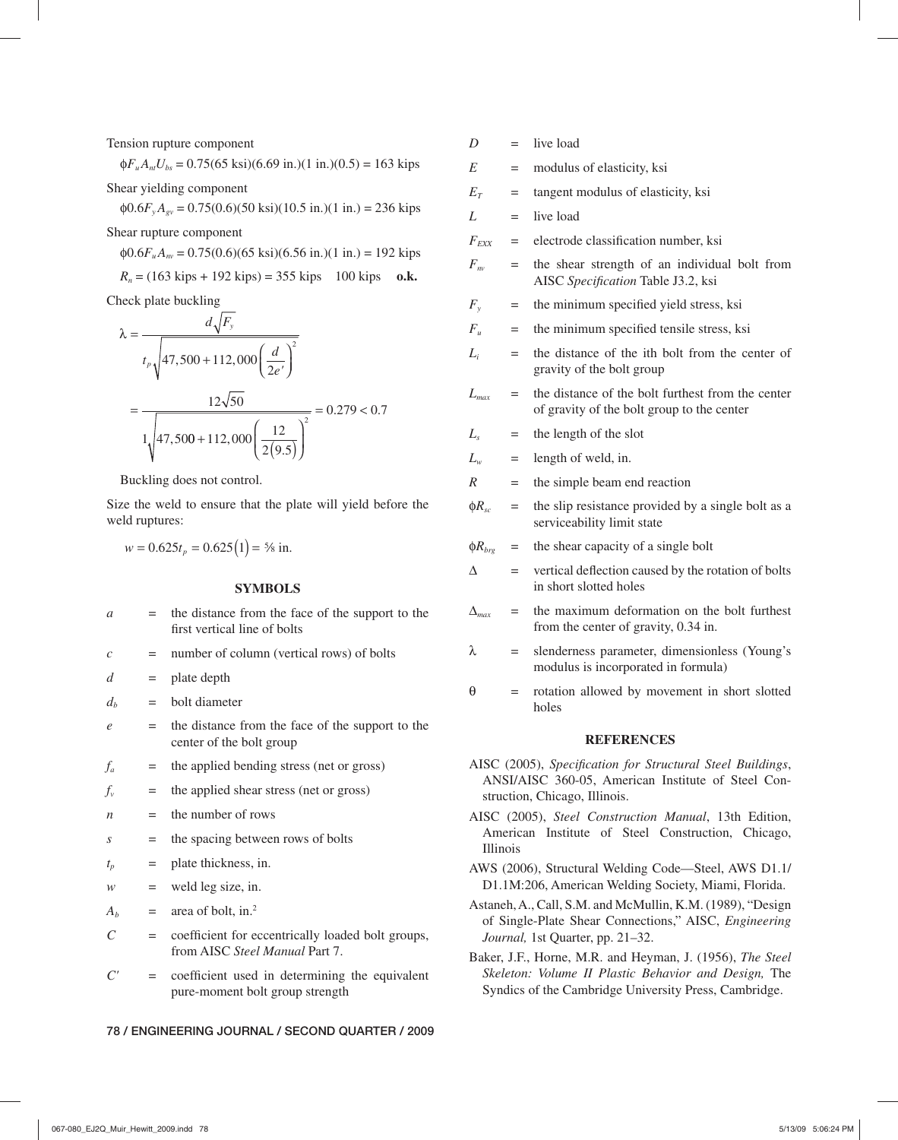Tension rupture component

 $\Phi F_u A_{nl} U_{bs} = 0.75(65 \text{ ksi})(6.69 \text{ in.})(1 \text{ in.})(0.5) = 163 \text{ kips}$ 

Shear yielding component

 $\phi 0.6 F_v A_{\text{ev}} = 0.75(0.6)(50 \text{ ksi})(10.5 \text{ in.})(1 \text{ in.}) = 236 \text{ kips}$ 

Shear rupture component

 $\phi 0.6F_u A_w = 0.75(0.6)(65 \text{ ksi})(6.56 \text{ in.})(1 \text{ in.}) = 192 \text{ kips}$ 

 $R_n = (163 \text{ kips} + 192 \text{ kips}) = 355 \text{ kips}$  100 kips **o.k.** 

Check plate buckling

$$
\lambda = \frac{d\sqrt{F_y}}{t_p \sqrt{47,500 + 112,000 \left(\frac{d}{2e'}\right)^2}}
$$
  
= 
$$
\frac{12\sqrt{50}}{1 \sqrt{47,500 + 112,000 \left(\frac{12}{2(9.5)}\right)^2}} = 0.279 < 0.7
$$

Buckling does not control.

Size the weld to ensure that the plate will yield before the weld ruptures:

$$
w = 0.625t_p = 0.625(1) = 5\% \text{ in.}
$$

## **SYMBOLS**

| a                           |     | the distance from the face of the support to the<br>first vertical line of bolts           |
|-----------------------------|-----|--------------------------------------------------------------------------------------------|
| $\mathcal{C}_{\mathcal{C}}$ | $=$ | number of column (vertical rows) of bolts                                                  |
| d                           | $=$ | plate depth                                                                                |
| $d_h$                       | $=$ | bolt diameter                                                                              |
| e                           |     | the distance from the face of the support to the<br>center of the bolt group               |
| f <sub>a</sub>              | $=$ | the applied bending stress (net or gross)                                                  |
| f,                          | $=$ | the applied shear stress (net or gross)                                                    |
| n                           | $=$ | the number of rows                                                                         |
| S                           | $=$ | the spacing between rows of bolts                                                          |
| $t_p$                       | $=$ | plate thickness, in.                                                                       |
| w                           | $=$ | weld leg size, in.                                                                         |
| $A_b$                       | $=$ | area of bolt, in. $2$                                                                      |
| C                           | $=$ | coefficient for eccentrically loaded bolt groups,<br>from AISC <i>Steel Manual</i> Part 7. |
|                             |     |                                                                                            |

 $C'$  = coefficient used in determining the equivalent pure-moment bolt group strength

 $D =$  live load

 $E$  = modulus of elasticity, ksi

 $E_T$  = tangent modulus of elasticity, ksi

 $L =$  live load

 $F_{EXX}$  = electrode classification number, ksi

- $F_{nv}$  = the shear strength of an individual bolt from AISC Specification Table J3.2, ksi
- $F_y$  = the minimum specified yield stress, ksi
- $F_u$  = the minimum specified tensile stress, ksi
- $L_i$  = the distance of the ith bolt from the center of gravity of the bolt group
- $L_{max}$  = the distance of the bolt furthest from the center of gravity of the bolt group to the center
- $L<sub>s</sub>$  = the length of the slot
- $L_w$  = length of weld, in.
- *R* = the simple beam end reaction
- $\phi R_{sc}$  = the slip resistance provided by a single bolt as a serviceability limit state
- $\phi R_{bre}$  = the shear capacity of a single bolt
- $\Delta$  = vertical deflection caused by the rotation of bolts in short slotted holes
- $\Delta_{max}$  = the maximum deformation on the bolt furthest from the center of gravity, 0.34 in.
- $\lambda$  = slenderness parameter, dimensionless (Young's modulus is incorporated in formula)
- $\theta$  = rotation allowed by movement in short slotted holes

#### **REFERENCES**

- AISC (2005), *Specification for Structural Steel Buildings*, ANSI/AISC 360-05, American Institute of Steel Construction, Chicago, Illinois.
- AISC (2005), *Steel Construction Manual*, 13th Edition, American Institute of Steel Construction, Chicago, Illinois
- AWS (2006), Structural Welding Code—Steel, AWS D1.1/ D1.1M:206, American Welding Society, Miami, Florida.
- Astaneh, A., Call, S.M. and McMullin, K.M. (1989), "Design of Single-Plate Shear Connections," AISC, *Engineering Journal,* 1st Quarter, pp. 21–32.
- Baker, J.F., Horne, M.R. and Heyman, J. (1956), *The Steel Skeleton: Volume II Plastic Behavior and Design,* The Syndics of the Cambridge University Press, Cambridge.